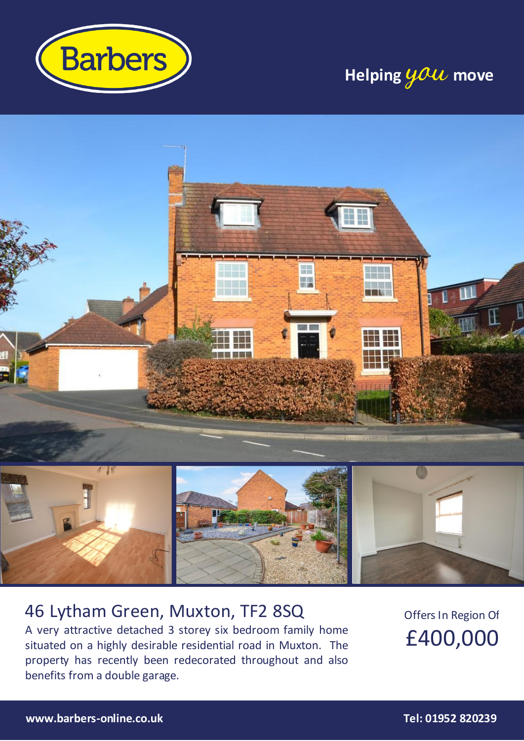

# **Helping you move**



### 46 Lytham Green, Muxton, TF2 8SQ

A very attractive detached 3 storey six bedroom family home situated on a highly desirable residential road in Muxton. The property has recently been redecorated throughout and also benefits from a double garage.

Offers In Region Of £400,000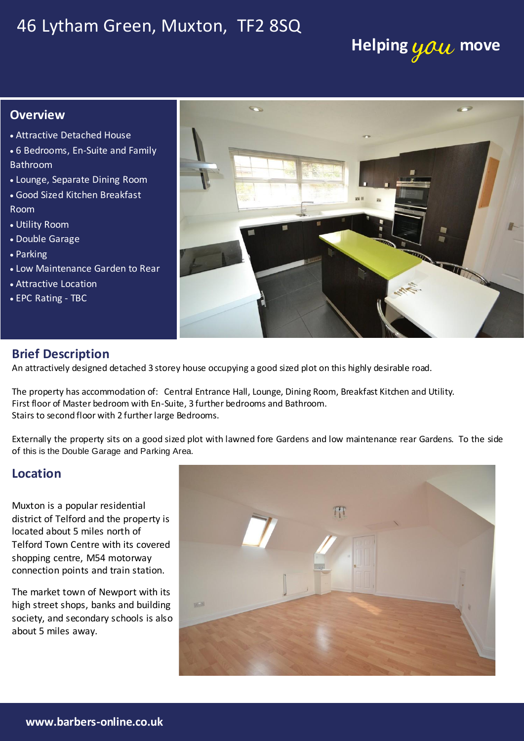### 46 Lytham Green, Muxton, TF2 8SQ

## **Helping you move**

#### **Overview**

- Attractive Detached House
- 6 Bedrooms, En-Suite and Family Bathroom
- Lounge, Separate Dining Room
- Good Sized Kitchen Breakfast Room
- Utility Room
- Double Garage
- Parking
- Low Maintenance Garden to Rear
- **Attractive Location**
- EPC Rating TBC



#### **Brief Description**

An attractively designed detached 3 storey house occupying a good sized plot on this highly desirable road.

The property has accommodation of: Central Entrance Hall, Lounge, Dining Room, Breakfast Kitchen and Utility. First floor of Master bedroom with En-Suite, 3 further bedrooms and Bathroom. Stairs to second floor with 2 further large Bedrooms.

Externally the property sits on a good sized plot with lawned fore Gardens and low maintenance rear Gardens. To the side of this is the Double Garage and Parking Area.

### **Location**

district of Telford and the property is

me manner cerra correct per commode



radiator and coving to ceiling.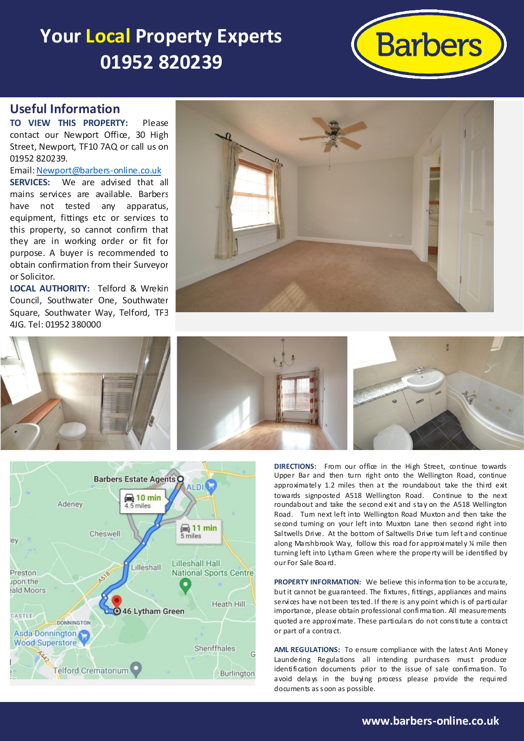## **Your Local Property Experts 01952 820239**



#### **Useful Information**

**TO VIEW THIS PROPERTY:** Please contact our Newport Office, 30 High Street, Newport, TF10 7AQ or call us on 01952 820239.

Email[: Newport@barbers-online.co.uk](mailto:Newport@barbers-online.co.uk) **SERVICES:** We are advised that all mains services are available. Barbers have not tested any apparatus, equipment, fittings etc or services to this property, so cannot confirm that they are in working order or fit for purpose. A buyer is recommended to obtain confirmation from their Surveyor or Solicitor.

**LOCAL AUTHORITY:** Telford & Wrekin Council, Southwater One, Southwater Square, Southwater Way, Telford, TF3 4JG. Tel: 01952 380000







**DIRECTIONS:** From our office in the High Street, continue towards Upper Bar and then turn right onto the Wellington Road, continue approximately 1.2 miles then at the roundabout take the third exit towards signposted A518 Wellington Road. Continue to the next roundabout and take the second exit and stay on the A518 Wellington Road. Tum next left into Wellington Road Muxton and then take the second tuming on your left into Muxton Lane then second right into Saltwells Drive. At the bottom of Saltwells Drive turn left and continue along Marshbrook Way, follow this road for approximately ¼ mile then turning left into Lytham Green where the property will be identified by our For Sale Board.

PROPERTY INFORMATION: We believe this information to be accurate, but it cannot be guaranteed. The fixtures, fittings, appliances and mains services have not been tested. If there is any point which is of particular importance, please obtain professional confirmation. All measurements quoted are approximate. These particulars do not constitute a contract or part of a contract.

**AML REGULATIONS:** To ensure compliance with the latest Anti Money Laundering Regulations all intending purchasers must produce identification documents prior to the issue of sale confirmation. To avoid delays in the buying process please provide the required documents as soon as possible.